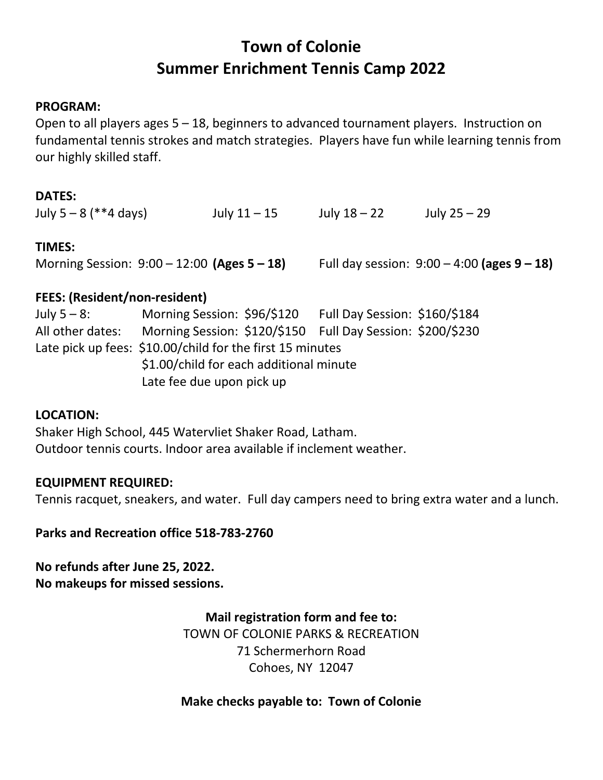# **Town of Colonie Summer Enrichment Tennis Camp 2022**

#### **PROGRAM:**

Open to all players ages 5 – 18, beginners to advanced tournament players. Instruction on fundamental tennis strokes and match strategies. Players have fun while learning tennis from our highly skilled staff.

#### **DATES:**

| July $5 - 8$ (**4 days)                                                                                                                                                                                                                                                                                                                                                                                                                                                                    | July $11 - 15$ | July $18 - 22$ | July $25 - 29$                                   |
|--------------------------------------------------------------------------------------------------------------------------------------------------------------------------------------------------------------------------------------------------------------------------------------------------------------------------------------------------------------------------------------------------------------------------------------------------------------------------------------------|----------------|----------------|--------------------------------------------------|
| <b>TIMES:</b><br>Morning Session: $9:00 - 12:00$ (Ages $5 - 18$ )                                                                                                                                                                                                                                                                                                                                                                                                                          |                |                | Full day session: $9:00 - 4:00$ (ages $9 - 18$ ) |
| $\blacksquare$ $\blacksquare$ $\blacksquare$ $\blacksquare$ $\blacksquare$ $\blacksquare$ $\blacksquare$ $\blacksquare$ $\blacksquare$ $\blacksquare$ $\blacksquare$ $\blacksquare$ $\blacksquare$ $\blacksquare$ $\blacksquare$ $\blacksquare$ $\blacksquare$ $\blacksquare$ $\blacksquare$ $\blacksquare$ $\blacksquare$ $\blacksquare$ $\blacksquare$ $\blacksquare$ $\blacksquare$ $\blacksquare$ $\blacksquare$ $\blacksquare$ $\blacksquare$ $\blacksquare$ $\blacksquare$ $\blacks$ |                |                |                                                  |

#### **FEES: (Resident/non-resident)**

July 5 – 8: Morning Session: \$96/\$120 Full Day Session: \$160/\$184 All other dates: Morning Session: \$120/\$150 Full Day Session: \$200/\$230 Late pick up fees: \$10.00/child for the first 15 minutes \$1.00/child for each additional minute Late fee due upon pick up

#### **LOCATION:**

Shaker High School, 445 Watervliet Shaker Road, Latham. Outdoor tennis courts. Indoor area available if inclement weather.

#### **EQUIPMENT REQUIRED:**

Tennis racquet, sneakers, and water. Full day campers need to bring extra water and a lunch.

#### **Parks and Recreation office 518-783-2760**

### **No refunds after June 25, 2022. No makeups for missed sessions.**

**Mail registration form and fee to:** TOWN OF COLONIE PARKS & RECREATION 71 Schermerhorn Road Cohoes, NY 12047

#### **Make checks payable to: Town of Colonie**